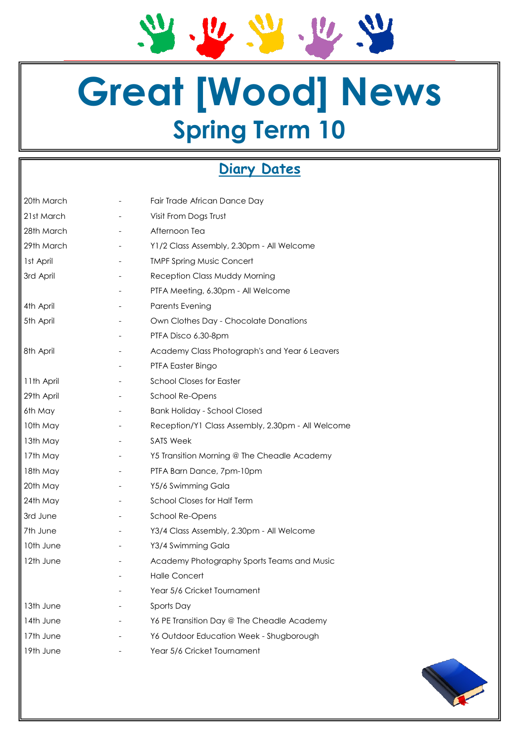21.22.22.22

## **Great [Wood] News Spring Term 10**

### **Diary Dates**

| 20th March | Fair Trade African Dance Day                      |
|------------|---------------------------------------------------|
|            |                                                   |
| 21st March | Visit From Dogs Trust                             |
| 28th March | Afternoon Tea                                     |
| 29th March | Y1/2 Class Assembly, 2.30pm - All Welcome         |
| 1st April  | <b>TMPF Spring Music Concert</b>                  |
| 3rd April  | Reception Class Muddy Morning                     |
|            | PTFA Meeting, 6.30pm - All Welcome                |
| 4th April  | Parents Evening                                   |
| 5th April  | Own Clothes Day - Chocolate Donations             |
|            | PTFA Disco 6.30-8pm                               |
| 8th April  | Academy Class Photograph's and Year 6 Leavers     |
|            | PTFA Easter Bingo                                 |
| 11th April | <b>School Closes for Easter</b>                   |
| 29th April | School Re-Opens                                   |
| 6th May    | <b>Bank Holiday - School Closed</b>               |
| 10th May   | Reception/Y1 Class Assembly, 2.30pm - All Welcome |
| 13th May   | <b>SATS Week</b>                                  |
| 17th May   | Y5 Transition Morning @ The Cheadle Academy       |
| 18th May   | PTFA Barn Dance, 7pm-10pm                         |
| 20th May   | Y5/6 Swimming Gala                                |
| 24th May   | School Closes for Half Term                       |
| 3rd June   | School Re-Opens                                   |
| 7th June   | Y3/4 Class Assembly, 2.30pm - All Welcome         |
| 10th June  | Y3/4 Swimming Gala                                |
| 12th June  | Academy Photography Sports Teams and Music        |
|            | <b>Halle Concert</b>                              |
|            | Year 5/6 Cricket Tournament                       |
| 13th June  | Sports Day                                        |
| 14th June  | Y6 PE Transition Day @ The Cheadle Academy        |
| 17th June  | Y6 Outdoor Education Week - Shugborough           |
| 19th June  | Year 5/6 Cricket Tournament                       |
|            |                                                   |

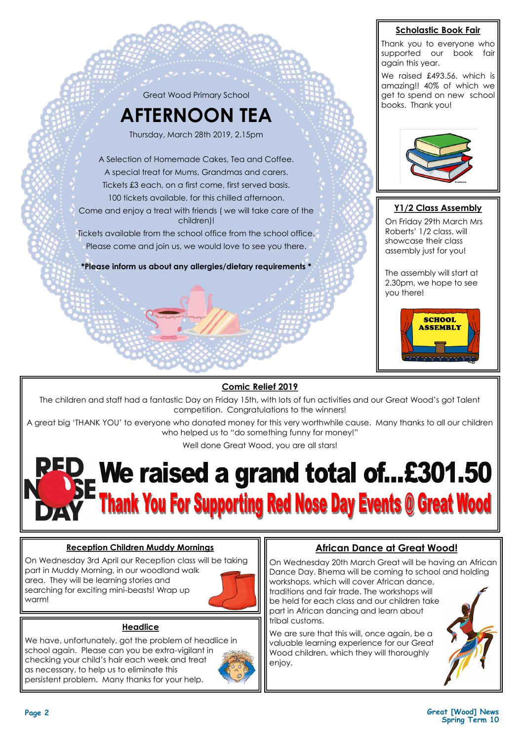

#### **Comic Relief 2019**

The children and staff had a fantastic Day on Friday 15th, with lots of fun activities and our Great Wood's got Talent competition. Congratulations to the winners!

A great big 'THANK YOU' to everyone who donated money for this very worthwhile cause. Many thanks to all our children who helped us to "do something funny for money!"

Well done Great Wood, you are all stars!

## **We raised a grand total of...£301.50 Thank You For Supporting Red Nose Day Events @ Great Wood**

#### **Reception Children Muddy Mornings**

On Wednesday 3rd April our Reception class will be taking part in Muddy Morning, in our woodland walk area. They will be learning stories and searching for exciting mini-beasts! Wrap up warm!



#### **Headlice**

We have, unfortunately, got the problem of headlice in school again. Please can you be extra-vigilant in checking your child's hair each week and treat as necessary, to help us to eliminate this persistent problem. Many thanks for your help.



#### **African Dance at Great Wood!**

On Wednesday 20th March Great will be having an African Dance Day. Bhema will be coming to school and holding workshops, which will cover African dance,

traditions and fair trade. The workshops will be held for each class and our children take part in African dancing and learn about tribal customs.

We are sure that this will, once again, be a valuable learning experience for our Great Wood children, which they will thoroughly enjoy.



**Scholastic Book Fair**